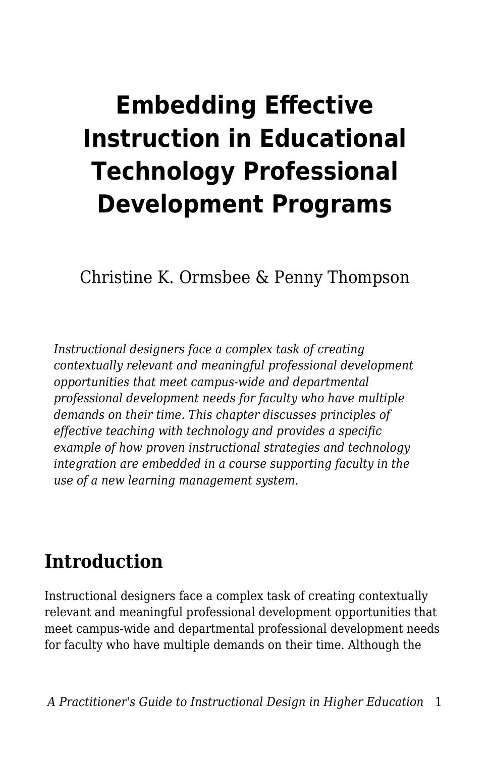# **Embedding Effective Instruction in Educational Technology Professional Development Programs**

Christine K. Ormsbee & Penny Thompson

*Instructional designers face a complex task of creating contextually relevant and meaningful professional development opportunities that meet campus-wide and departmental professional development needs for faculty who have multiple demands on their time. This chapter discusses principles of effective teaching with technology and provides a specific example of how proven instructional strategies and technology integration are embedded in a course supporting faculty in the use of a new learning management system.*

## **Introduction**

Instructional designers face a complex task of creating contextually relevant and meaningful professional development opportunities that meet campus-wide and departmental professional development needs for faculty who have multiple demands on their time. Although the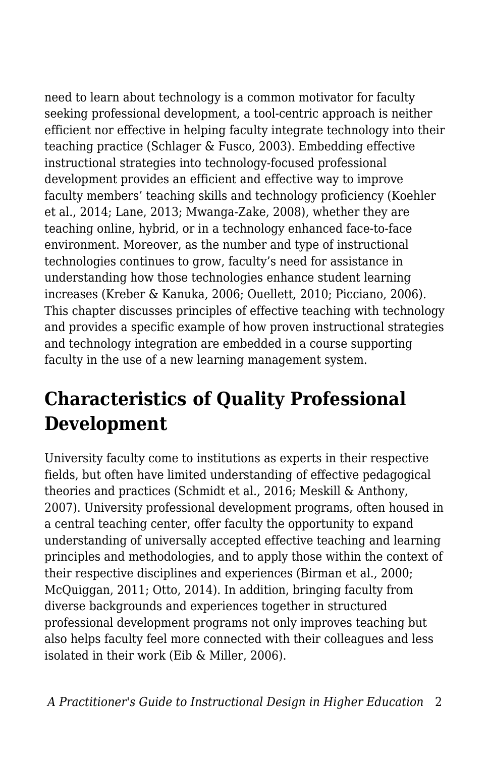need to learn about technology is a common motivator for faculty seeking professional development, a tool-centric approach is neither efficient nor effective in helping faculty integrate technology into their teaching practice (Schlager & Fusco, 2003). Embedding effective instructional strategies into technology-focused professional development provides an efficient and effective way to improve faculty members' teaching skills and technology proficiency (Koehler et al., 2014; Lane, 2013; Mwanga-Zake, 2008), whether they are teaching online, hybrid, or in a technology enhanced face-to-face environment. Moreover, as the number and type of instructional technologies continues to grow, faculty's need for assistance in understanding how those technologies enhance student learning increases (Kreber & Kanuka, 2006; Ouellett, 2010; Picciano, 2006). This chapter discusses principles of effective teaching with technology and provides a specific example of how proven instructional strategies and technology integration are embedded in a course supporting faculty in the use of a new learning management system.

# **Characteristics of Quality Professional Development**

University faculty come to institutions as experts in their respective fields, but often have limited understanding of effective pedagogical theories and practices (Schmidt et al., 2016; Meskill & Anthony, 2007). University professional development programs, often housed in a central teaching center, offer faculty the opportunity to expand understanding of universally accepted effective teaching and learning principles and methodologies, and to apply those within the context of their respective disciplines and experiences (Birman et al., 2000; McQuiggan, 2011; Otto, 2014). In addition, bringing faculty from diverse backgrounds and experiences together in structured professional development programs not only improves teaching but also helps faculty feel more connected with their colleagues and less isolated in their work (Eib & Miller, 2006).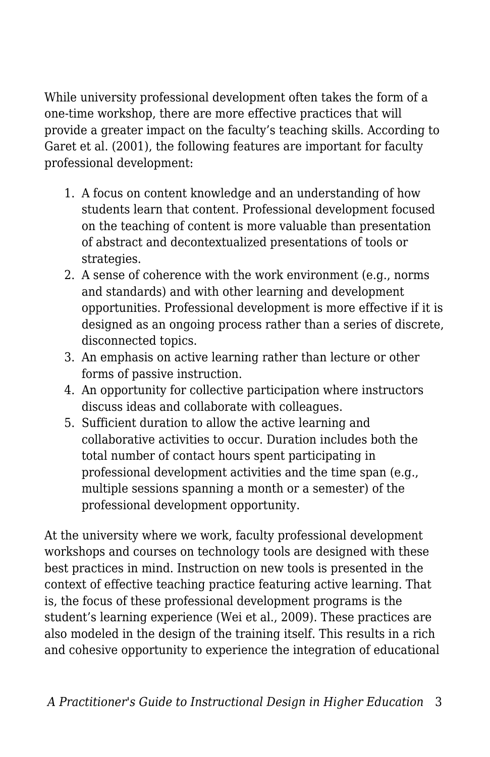While university professional development often takes the form of a one-time workshop, there are more effective practices that will provide a greater impact on the faculty's teaching skills. According to Garet et al. (2001), the following features are important for faculty professional development:

- 1. A focus on content knowledge and an understanding of how students learn that content. Professional development focused on the teaching of content is more valuable than presentation of abstract and decontextualized presentations of tools or strategies.
- 2. A sense of coherence with the work environment (e.g., norms and standards) and with other learning and development opportunities. Professional development is more effective if it is designed as an ongoing process rather than a series of discrete, disconnected topics.
- 3. An emphasis on active learning rather than lecture or other forms of passive instruction.
- 4. An opportunity for collective participation where instructors discuss ideas and collaborate with colleagues.
- 5. Sufficient duration to allow the active learning and collaborative activities to occur. Duration includes both the total number of contact hours spent participating in professional development activities and the time span (e.g., multiple sessions spanning a month or a semester) of the professional development opportunity.

At the university where we work, faculty professional development workshops and courses on technology tools are designed with these best practices in mind. Instruction on new tools is presented in the context of effective teaching practice featuring active learning. That is, the focus of these professional development programs is the student's learning experience (Wei et al., 2009). These practices are also modeled in the design of the training itself. This results in a rich and cohesive opportunity to experience the integration of educational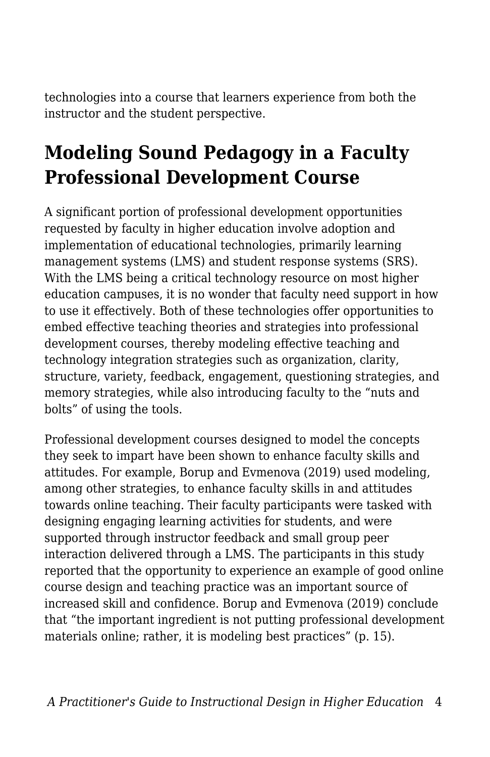technologies into a course that learners experience from both the instructor and the student perspective.

# **Modeling Sound Pedagogy in a Faculty Professional Development Course**

A significant portion of professional development opportunities requested by faculty in higher education involve adoption and implementation of educational technologies, primarily learning management systems (LMS) and student response systems (SRS). With the LMS being a critical technology resource on most higher education campuses, it is no wonder that faculty need support in how to use it effectively. Both of these technologies offer opportunities to embed effective teaching theories and strategies into professional development courses, thereby modeling effective teaching and technology integration strategies such as organization, clarity, structure, variety, feedback, engagement, questioning strategies, and memory strategies, while also introducing faculty to the "nuts and bolts" of using the tools.

Professional development courses designed to model the concepts they seek to impart have been shown to enhance faculty skills and attitudes. For example, Borup and Evmenova (2019) used modeling, among other strategies, to enhance faculty skills in and attitudes towards online teaching. Their faculty participants were tasked with designing engaging learning activities for students, and were supported through instructor feedback and small group peer interaction delivered through a LMS. The participants in this study reported that the opportunity to experience an example of good online course design and teaching practice was an important source of increased skill and confidence. Borup and Evmenova (2019) conclude that "the important ingredient is not putting professional development materials online; rather, it is modeling best practices" (p. 15).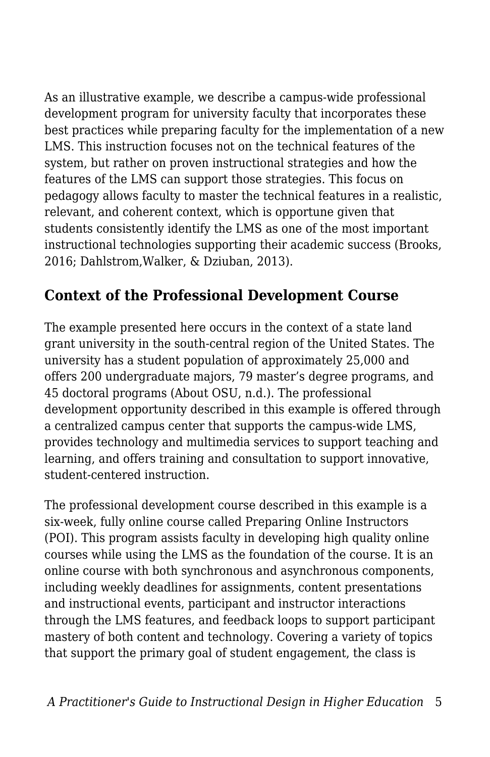As an illustrative example, we describe a campus-wide professional development program for university faculty that incorporates these best practices while preparing faculty for the implementation of a new LMS. This instruction focuses not on the technical features of the system, but rather on proven instructional strategies and how the features of the LMS can support those strategies. This focus on pedagogy allows faculty to master the technical features in a realistic, relevant, and coherent context, which is opportune given that students consistently identify the LMS as one of the most important instructional technologies supporting their academic success (Brooks, 2016; Dahlstrom,Walker, & Dziuban, 2013).

### **Context of the Professional Development Course**

The example presented here occurs in the context of a state land grant university in the south-central region of the United States. The university has a student population of approximately 25,000 and offers 200 undergraduate majors, 79 master's degree programs, and 45 doctoral programs (About OSU, n.d.). The professional development opportunity described in this example is offered through a centralized campus center that supports the campus-wide LMS, provides technology and multimedia services to support teaching and learning, and offers training and consultation to support innovative, student-centered instruction.

The professional development course described in this example is a six-week, fully online course called Preparing Online Instructors (POI). This program assists faculty in developing high quality online courses while using the LMS as the foundation of the course. It is an online course with both synchronous and asynchronous components, including weekly deadlines for assignments, content presentations and instructional events, participant and instructor interactions through the LMS features, and feedback loops to support participant mastery of both content and technology. Covering a variety of topics that support the primary goal of student engagement, the class is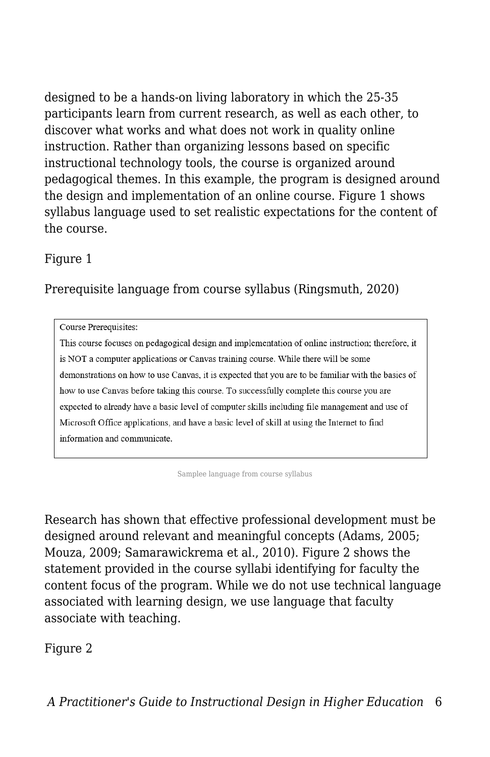designed to be a hands-on living laboratory in which the 25-35 participants learn from current research, as well as each other, to discover what works and what does not work in quality online instruction. Rather than organizing lessons based on specific instructional technology tools, the course is organized around pedagogical themes. In this example, the program is designed around the design and implementation of an online course. Figure 1 shows syllabus language used to set realistic expectations for the content of the course.

#### Figure 1

#### Prerequisite language from course syllabus (Ringsmuth, 2020)

Course Prerequisites:

This course focuses on pedagogical design and implementation of online instruction; therefore, it is NOT a computer applications or Canvas training course. While there will be some demonstrations on how to use Canvas, it is expected that you are to be familiar with the basics of how to use Canvas before taking this course. To successfully complete this course you are expected to already have a basic level of computer skills including file management and use of Microsoft Office applications, and have a basic level of skill at using the Internet to find information and communicate.

Samplee language from course syllabus

Research has shown that effective professional development must be designed around relevant and meaningful concepts (Adams, 2005; Mouza, 2009; Samarawickrema et al., 2010). Figure 2 shows the statement provided in the course syllabi identifying for faculty the content focus of the program. While we do not use technical language associated with learning design, we use language that faculty associate with teaching.

#### Figure 2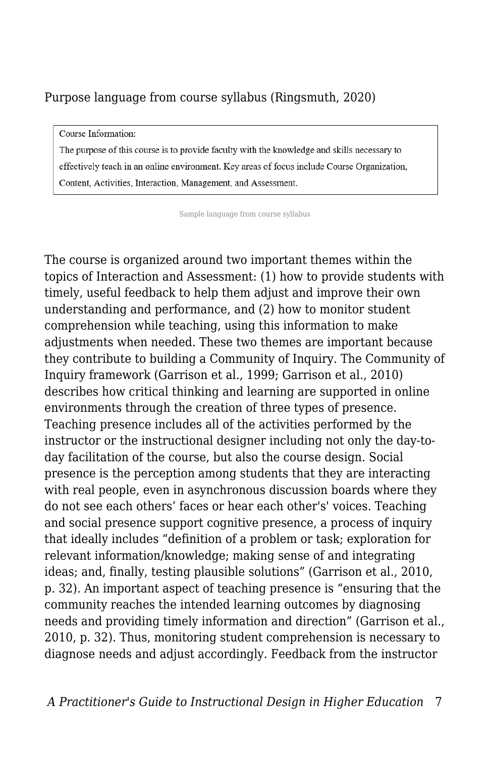#### Purpose language from course syllabus (Ringsmuth, 2020)

Course Information:

The purpose of this course is to provide faculty with the knowledge and skills necessary to effectively teach in an online environment. Key areas of focus include Course Organization, Content, Activities, Interaction, Management, and Assessment.

Sample language from course syllabus

The course is organized around two important themes within the topics of Interaction and Assessment: (1) how to provide students with timely, useful feedback to help them adjust and improve their own understanding and performance, and (2) how to monitor student comprehension while teaching, using this information to make adjustments when needed. These two themes are important because they contribute to building a Community of Inquiry. The Community of Inquiry framework (Garrison et al., 1999; Garrison et al., 2010) describes how critical thinking and learning are supported in online environments through the creation of three types of presence. Teaching presence includes all of the activities performed by the instructor or the instructional designer including not only the day-today facilitation of the course, but also the course design. Social presence is the perception among students that they are interacting with real people, even in asynchronous discussion boards where they do not see each others' faces or hear each other's' voices. Teaching and social presence support cognitive presence, a process of inquiry that ideally includes "definition of a problem or task; exploration for relevant information/knowledge; making sense of and integrating ideas; and, finally, testing plausible solutions" (Garrison et al., 2010, p. 32). An important aspect of teaching presence is "ensuring that the community reaches the intended learning outcomes by diagnosing needs and providing timely information and direction" (Garrison et al., 2010, p. 32). Thus, monitoring student comprehension is necessary to diagnose needs and adjust accordingly. Feedback from the instructor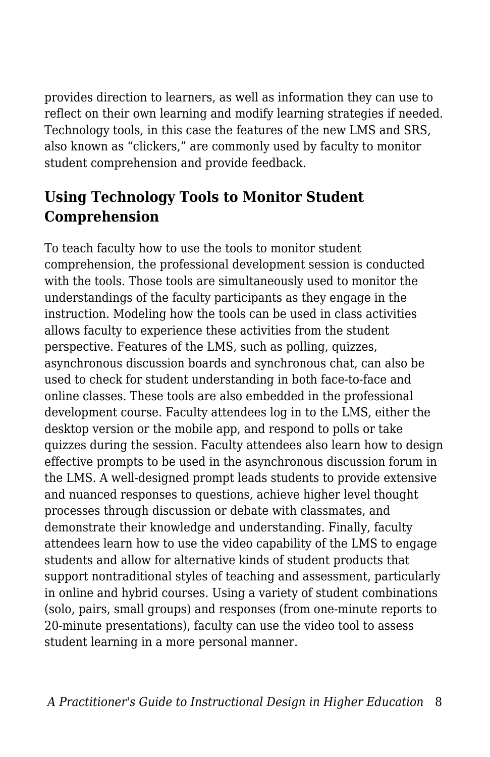provides direction to learners, as well as information they can use to reflect on their own learning and modify learning strategies if needed. Technology tools, in this case the features of the new LMS and SRS, also known as "clickers," are commonly used by faculty to monitor student comprehension and provide feedback.

### **Using Technology Tools to Monitor Student Comprehension**

To teach faculty how to use the tools to monitor student comprehension, the professional development session is conducted with the tools. Those tools are simultaneously used to monitor the understandings of the faculty participants as they engage in the instruction. Modeling how the tools can be used in class activities allows faculty to experience these activities from the student perspective. Features of the LMS, such as polling, quizzes, asynchronous discussion boards and synchronous chat, can also be used to check for student understanding in both face-to-face and online classes. These tools are also embedded in the professional development course. Faculty attendees log in to the LMS, either the desktop version or the mobile app, and respond to polls or take quizzes during the session. Faculty attendees also learn how to design effective prompts to be used in the asynchronous discussion forum in the LMS. A well-designed prompt leads students to provide extensive and nuanced responses to questions, achieve higher level thought processes through discussion or debate with classmates, and demonstrate their knowledge and understanding. Finally, faculty attendees learn how to use the video capability of the LMS to engage students and allow for alternative kinds of student products that support nontraditional styles of teaching and assessment, particularly in online and hybrid courses. Using a variety of student combinations (solo, pairs, small groups) and responses (from one-minute reports to 20-minute presentations), faculty can use the video tool to assess student learning in a more personal manner.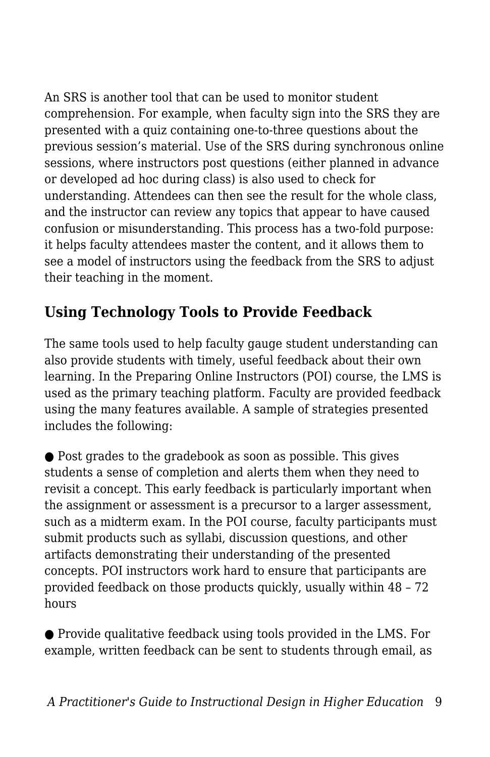An SRS is another tool that can be used to monitor student comprehension. For example, when faculty sign into the SRS they are presented with a quiz containing one-to-three questions about the previous session's material. Use of the SRS during synchronous online sessions, where instructors post questions (either planned in advance or developed ad hoc during class) is also used to check for understanding. Attendees can then see the result for the whole class, and the instructor can review any topics that appear to have caused confusion or misunderstanding. This process has a two-fold purpose: it helps faculty attendees master the content, and it allows them to see a model of instructors using the feedback from the SRS to adjust their teaching in the moment.

### **Using Technology Tools to Provide Feedback**

The same tools used to help faculty gauge student understanding can also provide students with timely, useful feedback about their own learning. In the Preparing Online Instructors (POI) course, the LMS is used as the primary teaching platform. Faculty are provided feedback using the many features available. A sample of strategies presented includes the following:

● Post grades to the gradebook as soon as possible. This gives students a sense of completion and alerts them when they need to revisit a concept. This early feedback is particularly important when the assignment or assessment is a precursor to a larger assessment, such as a midterm exam. In the POI course, faculty participants must submit products such as syllabi, discussion questions, and other artifacts demonstrating their understanding of the presented concepts. POI instructors work hard to ensure that participants are provided feedback on those products quickly, usually within 48 – 72 hours

● Provide qualitative feedback using tools provided in the LMS. For example, written feedback can be sent to students through email, as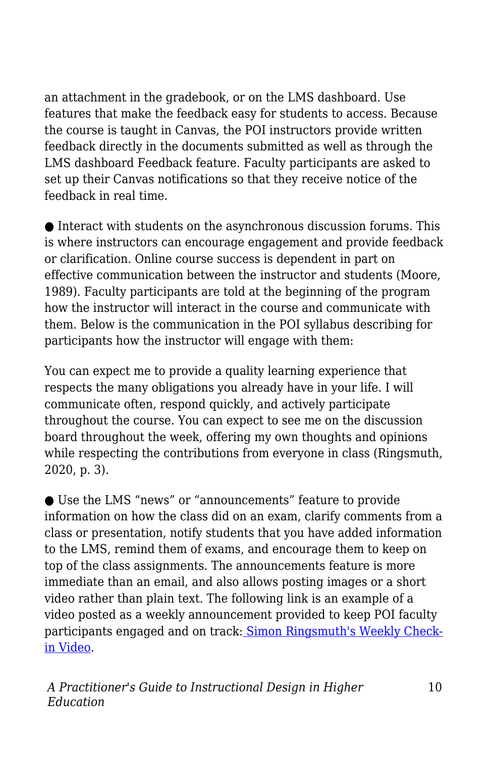an attachment in the gradebook, or on the LMS dashboard. Use features that make the feedback easy for students to access. Because the course is taught in Canvas, the POI instructors provide written feedback directly in the documents submitted as well as through the LMS dashboard Feedback feature. Faculty participants are asked to set up their Canvas notifications so that they receive notice of the feedback in real time.

 $\bullet$  Interact with students on the asynchronous discussion forums. This is where instructors can encourage engagement and provide feedback or clarification. Online course success is dependent in part on effective communication between the instructor and students (Moore, 1989). Faculty participants are told at the beginning of the program how the instructor will interact in the course and communicate with them. Below is the communication in the POI syllabus describing for participants how the instructor will engage with them:

You can expect me to provide a quality learning experience that respects the many obligations you already have in your life. I will communicate often, respond quickly, and actively participate throughout the course. You can expect to see me on the discussion board throughout the week, offering my own thoughts and opinions while respecting the contributions from everyone in class (Ringsmuth, 2020, p. 3).

● Use the LMS "news" or "announcements" feature to provide information on how the class did on an exam, clarify comments from a class or presentation, notify students that you have added information to the LMS, remind them of exams, and encourage them to keep on top of the class assignments. The announcements feature is more immediate than an email, and also allows posting images or a short video rather than plain text. The following link is an example of a video posted as a weekly announcement provided to keep POI faculty participants engaged and on track[:](https://okstate.instructuremedia.com/embed/ed07bcf9-5ce2-48b5-ba00-11ec494a5bdb) [Simon Ringsmuth's Weekly Check](https://okstate.instructuremedia.com/embed/ed07bcf9-5ce2-48b5-ba00-11ec494a5bdb)[in Video](https://okstate.instructuremedia.com/embed/ed07bcf9-5ce2-48b5-ba00-11ec494a5bdb).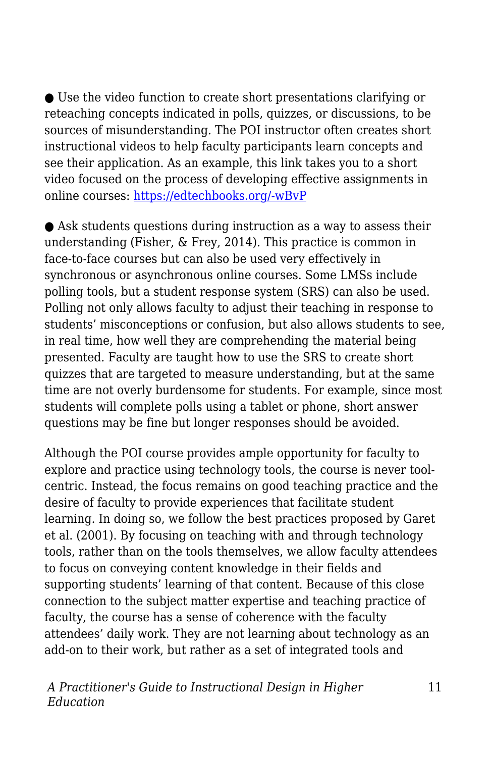● Use the video function to create short presentations clarifying or reteaching concepts indicated in polls, quizzes, or discussions, to be sources of misunderstanding. The POI instructor often creates short instructional videos to help faculty participants learn concepts and see their application. As an example, this link takes you to a short video focused on the process of developing effective assignments in online courses: [https://edtechbooks.org/-wBvP](https://itle.okstate.edu/teach-online-effectively.html)

● Ask students questions during instruction as a way to assess their understanding (Fisher, & Frey, 2014). This practice is common in face-to-face courses but can also be used very effectively in synchronous or asynchronous online courses. Some LMSs include polling tools, but a student response system (SRS) can also be used. Polling not only allows faculty to adjust their teaching in response to students' misconceptions or confusion, but also allows students to see, in real time, how well they are comprehending the material being presented. Faculty are taught how to use the SRS to create short quizzes that are targeted to measure understanding, but at the same time are not overly burdensome for students. For example, since most students will complete polls using a tablet or phone, short answer questions may be fine but longer responses should be avoided.

Although the POI course provides ample opportunity for faculty to explore and practice using technology tools, the course is never toolcentric. Instead, the focus remains on good teaching practice and the desire of faculty to provide experiences that facilitate student learning. In doing so, we follow the best practices proposed by Garet et al. (2001). By focusing on teaching with and through technology tools, rather than on the tools themselves, we allow faculty attendees to focus on conveying content knowledge in their fields and supporting students' learning of that content. Because of this close connection to the subject matter expertise and teaching practice of faculty, the course has a sense of coherence with the faculty attendees' daily work. They are not learning about technology as an add-on to their work, but rather as a set of integrated tools and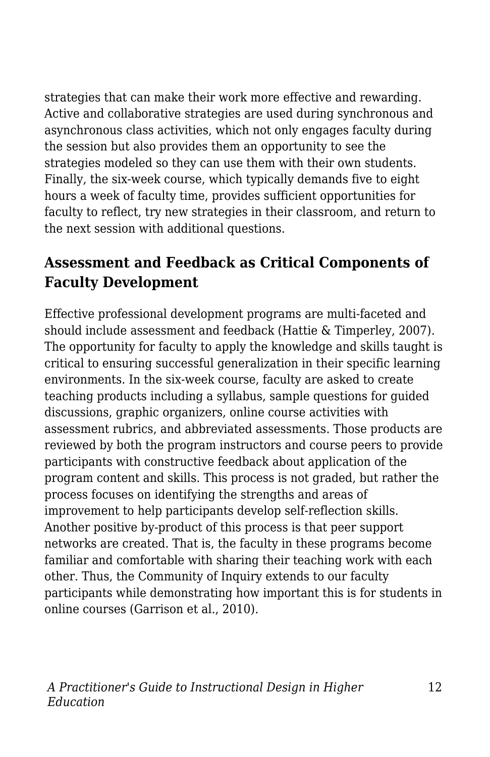strategies that can make their work more effective and rewarding. Active and collaborative strategies are used during synchronous and asynchronous class activities, which not only engages faculty during the session but also provides them an opportunity to see the strategies modeled so they can use them with their own students. Finally, the six-week course, which typically demands five to eight hours a week of faculty time, provides sufficient opportunities for faculty to reflect, try new strategies in their classroom, and return to the next session with additional questions.

### **Assessment and Feedback as Critical Components of Faculty Development**

Effective professional development programs are multi-faceted and should include assessment and feedback (Hattie & Timperley, 2007). The opportunity for faculty to apply the knowledge and skills taught is critical to ensuring successful generalization in their specific learning environments. In the six-week course, faculty are asked to create teaching products including a syllabus, sample questions for guided discussions, graphic organizers, online course activities with assessment rubrics, and abbreviated assessments. Those products are reviewed by both the program instructors and course peers to provide participants with constructive feedback about application of the program content and skills. This process is not graded, but rather the process focuses on identifying the strengths and areas of improvement to help participants develop self-reflection skills. Another positive by-product of this process is that peer support networks are created. That is, the faculty in these programs become familiar and comfortable with sharing their teaching work with each other. Thus, the Community of Inquiry extends to our faculty participants while demonstrating how important this is for students in online courses (Garrison et al., 2010).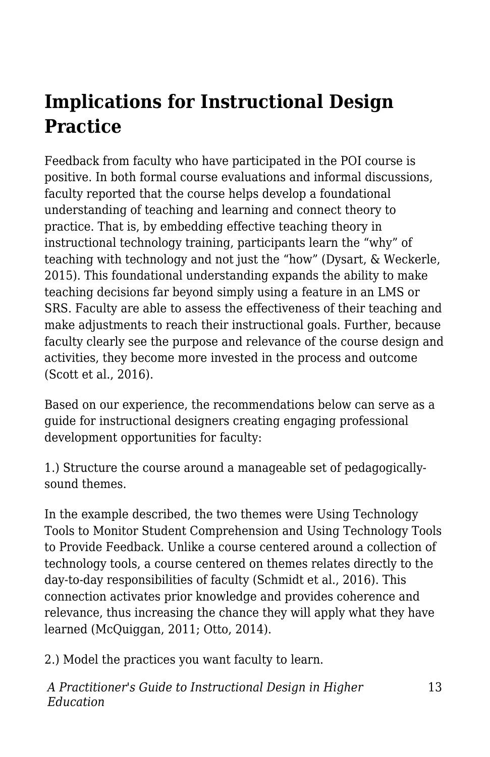# **Implications for Instructional Design Practice**

Feedback from faculty who have participated in the POI course is positive. In both formal course evaluations and informal discussions, faculty reported that the course helps develop a foundational understanding of teaching and learning and connect theory to practice. That is, by embedding effective teaching theory in instructional technology training, participants learn the "why" of teaching with technology and not just the "how" (Dysart, & Weckerle, 2015). This foundational understanding expands the ability to make teaching decisions far beyond simply using a feature in an LMS or SRS. Faculty are able to assess the effectiveness of their teaching and make adjustments to reach their instructional goals. Further, because faculty clearly see the purpose and relevance of the course design and activities, they become more invested in the process and outcome (Scott et al., 2016).

Based on our experience, the recommendations below can serve as a guide for instructional designers creating engaging professional development opportunities for faculty:

1.) Structure the course around a manageable set of pedagogicallysound themes.

In the example described, the two themes were Using Technology Tools to Monitor Student Comprehension and Using Technology Tools to Provide Feedback. Unlike a course centered around a collection of technology tools, a course centered on themes relates directly to the day-to-day responsibilities of faculty (Schmidt et al., 2016). This connection activates prior knowledge and provides coherence and relevance, thus increasing the chance they will apply what they have learned (McQuiggan, 2011; Otto, 2014).

2.) Model the practices you want faculty to learn.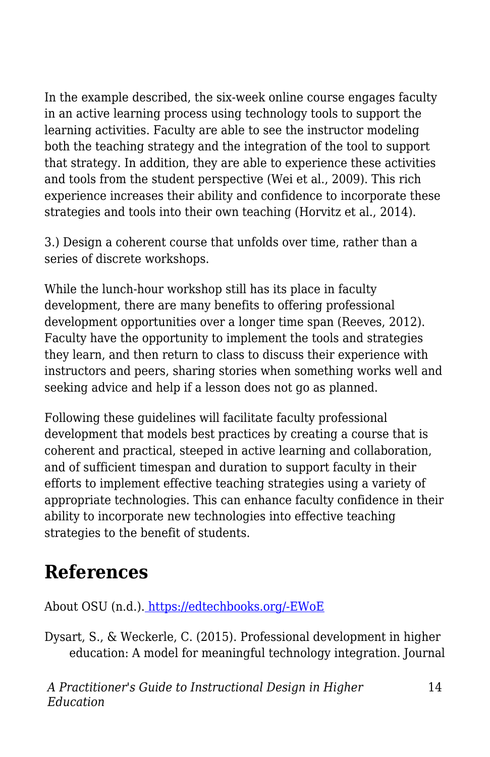In the example described, the six-week online course engages faculty in an active learning process using technology tools to support the learning activities. Faculty are able to see the instructor modeling both the teaching strategy and the integration of the tool to support that strategy. In addition, they are able to experience these activities and tools from the student perspective (Wei et al., 2009). This rich experience increases their ability and confidence to incorporate these strategies and tools into their own teaching (Horvitz et al., 2014).

3.) Design a coherent course that unfolds over time, rather than a series of discrete workshops.

While the lunch-hour workshop still has its place in faculty development, there are many benefits to offering professional development opportunities over a longer time span (Reeves, 2012). Faculty have the opportunity to implement the tools and strategies they learn, and then return to class to discuss their experience with instructors and peers, sharing stories when something works well and seeking advice and help if a lesson does not go as planned.

Following these guidelines will facilitate faculty professional development that models best practices by creating a course that is coherent and practical, steeped in active learning and collaboration, and of sufficient timespan and duration to support faculty in their efforts to implement effective teaching strategies using a variety of appropriate technologies. This can enhance faculty confidence in their ability to incorporate new technologies into effective teaching strategies to the benefit of students.

# **References**

About OSU (n.d.)[.](https://go.okstate.edu/about-osu/) [https://edtechbooks.org/-EWoE](https://go.okstate.edu/about-osu/)

Dysart, S., & Weckerle, C. (2015). Professional development in higher education: A model for meaningful technology integration. Journal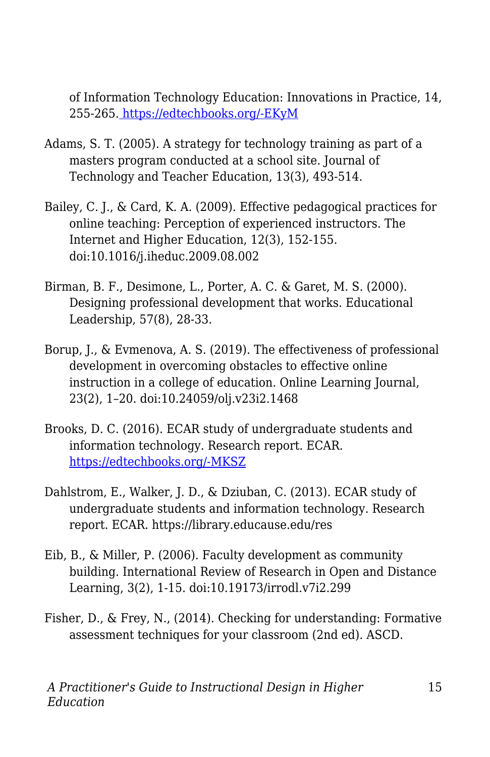of Information Technology Education: Innovations in Practice, 14, 255-265[.](http://www.jite.org/documents/Vol14/JITEv14IIPp255-265Dysart2106.pdf) [https://edtechbooks.org/-EKyM](http://www.jite.org/documents/Vol14/JITEv14IIPp255-265Dysart2106.pdf)

- Adams, S. T. (2005). A strategy for technology training as part of a masters program conducted at a school site. Journal of Technology and Teacher Education, 13(3), 493-514.
- Bailey, C. J., & Card, K. A. (2009). Effective pedagogical practices for online teaching: Perception of experienced instructors. The Internet and Higher Education, 12(3), 152-155. doi:10.1016/j.iheduc.2009.08.002
- Birman, B. F., Desimone, L., Porter, A. C. & Garet, M. S. (2000). Designing professional development that works. Educational Leadership, 57(8), 28-33.
- Borup, J., & Evmenova, A. S. (2019). The effectiveness of professional development in overcoming obstacles to effective online instruction in a college of education. Online Learning Journal, 23(2), 1–20. doi:10.24059/olj.v23i2.1468
- Brooks, D. C. (2016). ECAR study of undergraduate students and information technology. Research report. ECAR. [https://edtechbooks.org/-MKSZ](https://library.educause.edu/resources/2016/6/2016-students-and-technology-researchstudy)
- Dahlstrom, E., Walker, J. D., & Dziuban, C. (2013). ECAR study of undergraduate students and information technology. Research report. ECAR. https://library.educause.edu/res
- Eib, B., & Miller, P. (2006). Faculty development as community building. International Review of Research in Open and Distance Learning, 3(2), 1-15. doi:10.19173/irrodl.v7i2.299
- Fisher, D., & Frey, N., (2014). Checking for understanding: Formative assessment techniques for your classroom (2nd ed). ASCD.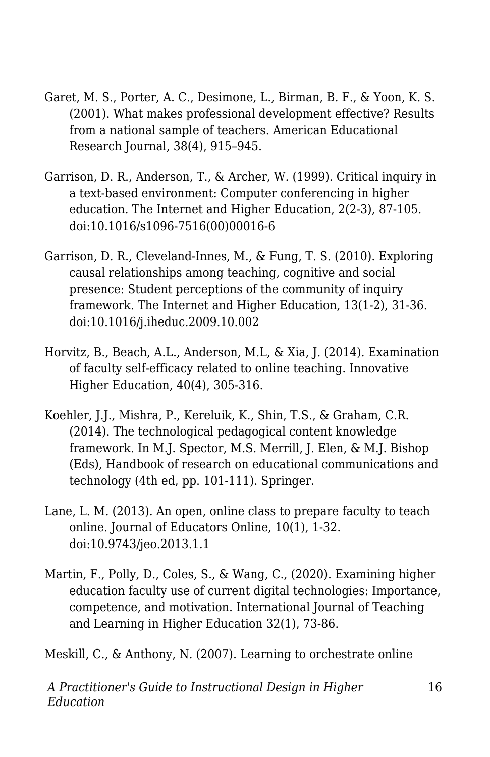- Garet, M. S., Porter, A. C., Desimone, L., Birman, B. F., & Yoon, K. S. (2001). What makes professional development effective? Results from a national sample of teachers. American Educational Research Journal, 38(4), 915–945.
- Garrison, D. R., Anderson, T., & Archer, W. (1999). Critical inquiry in a text-based environment: Computer conferencing in higher education. The Internet and Higher Education, 2(2-3), 87-105. doi:10.1016/s1096-7516(00)00016-6
- Garrison, D. R., Cleveland-Innes, M., & Fung, T. S. (2010). Exploring causal relationships among teaching, cognitive and social presence: Student perceptions of the community of inquiry framework. The Internet and Higher Education, 13(1-2), 31-36. doi:10.1016/j.iheduc.2009.10.002
- Horvitz, B., Beach, A.L., Anderson, M.L, & Xia, J. (2014). Examination of faculty self-efficacy related to online teaching. Innovative Higher Education, 40(4), 305-316.
- Koehler, J.J., Mishra, P., Kereluik, K., Shin, T.S., & Graham, C.R. (2014). The technological pedagogical content knowledge framework. In M.J. Spector, M.S. Merrill, J. Elen, & M.J. Bishop (Eds), Handbook of research on educational communications and technology (4th ed, pp. 101-111). Springer.
- Lane, L. M. (2013). An open, online class to prepare faculty to teach online. Journal of Educators Online, 10(1), 1-32. doi:10.9743/jeo.2013.1.1
- Martin, F., Polly, D., Coles, S., & Wang, C., (2020). Examining higher education faculty use of current digital technologies: Importance, competence, and motivation. International Journal of Teaching and Learning in Higher Education 32(1), 73-86.

Meskill, C., & Anthony, N. (2007). Learning to orchestrate online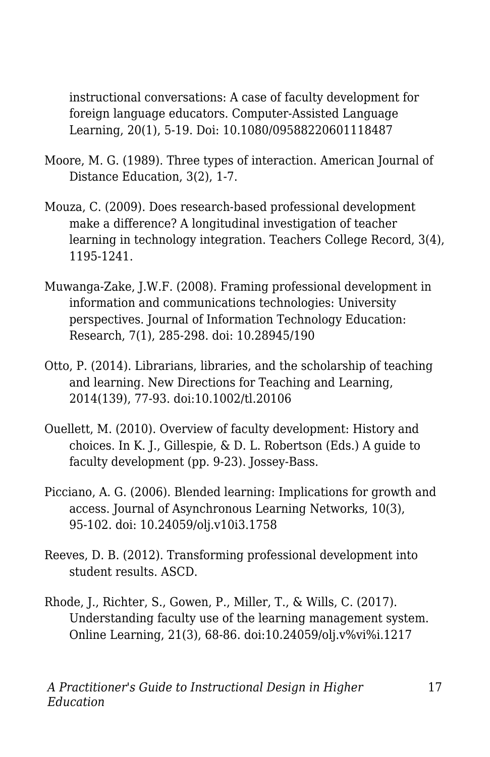instructional conversations: A case of faculty development for foreign language educators. Computer-Assisted Language Learning, 20(1), 5-19. Doi: 10.1080/09588220601118487

- Moore, M. G. (1989). Three types of interaction. American Journal of Distance Education, 3(2), 1-7.
- Mouza, C. (2009). Does research-based professional development make a difference? A longitudinal investigation of teacher learning in technology integration. Teachers College Record, 3(4), 1195-1241.
- Muwanga-Zake, J.W.F. (2008). Framing professional development in information and communications technologies: University perspectives. Journal of Information Technology Education: Research, 7(1), 285-298. doi: 10.28945/190
- Otto, P. (2014). Librarians, libraries, and the scholarship of teaching and learning. New Directions for Teaching and Learning, 2014(139), 77-93. doi:10.1002/tl.20106
- Ouellett, M. (2010). Overview of faculty development: History and choices. In K. J., Gillespie, & D. L. Robertson (Eds.) A guide to faculty development (pp. 9-23). Jossey-Bass.
- Picciano, A. G. (2006). Blended learning: Implications for growth and access. Journal of Asynchronous Learning Networks, 10(3), 95-102. doi: 10.24059/olj.v10i3.1758
- Reeves, D. B. (2012). Transforming professional development into student results. ASCD.
- Rhode, J., Richter, S., Gowen, P., Miller, T., & Wills, C. (2017). Understanding faculty use of the learning management system. Online Learning, 21(3), 68-86. doi:10.24059/olj.v%vi%i.1217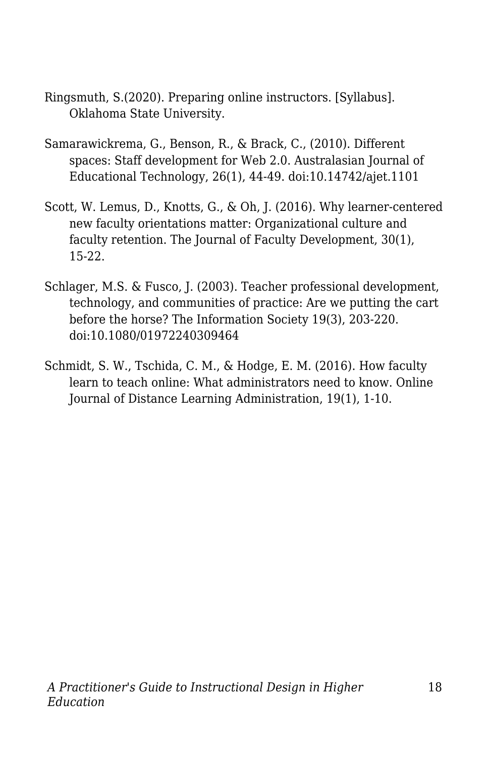- Ringsmuth, S.(2020). Preparing online instructors. [Syllabus]. Oklahoma State University.
- Samarawickrema, G., Benson, R., & Brack, C., (2010). Different spaces: Staff development for Web 2.0. Australasian Journal of Educational Technology, 26(1), 44-49. doi:10.14742/ajet.1101
- Scott, W. Lemus, D., Knotts, G., & Oh, J. (2016). Why learner-centered new faculty orientations matter: Organizational culture and faculty retention. The Journal of Faculty Development, 30(1), 15-22.
- Schlager, M.S. & Fusco, J. (2003). Teacher professional development, technology, and communities of practice: Are we putting the cart before the horse? The Information Society 19(3), 203-220. doi:10.1080/01972240309464
- Schmidt, S. W., Tschida, C. M., & Hodge, E. M. (2016). How faculty learn to teach online: What administrators need to know. Online Journal of Distance Learning Administration, 19(1), 1-10.